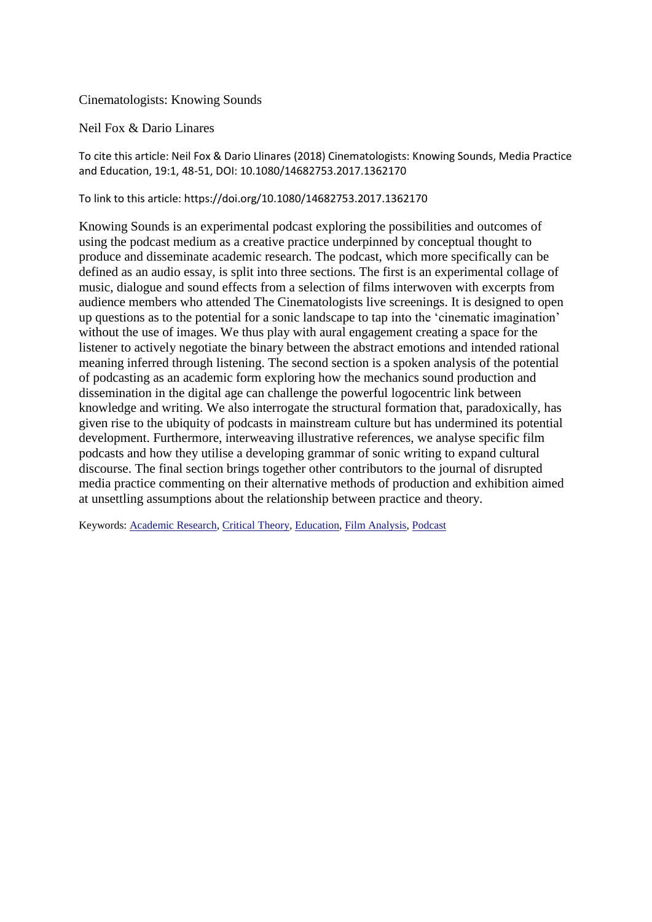## Cinematologists: Knowing Sounds

## Neil Fox & Dario Linares

To cite this article: Neil Fox & Dario Llinares (2018) Cinematologists: Knowing Sounds, Media Practice and Education, 19:1, 48-51, DOI: 10.1080/14682753.2017.1362170

## To link to this article: https://doi.org/10.1080/14682753.2017.1362170

Knowing Sounds is an experimental podcast exploring the possibilities and outcomes of using the podcast medium as a creative practice underpinned by conceptual thought to produce and disseminate academic research. The podcast, which more specifically can be defined as an audio essay, is split into three sections. The first is an experimental collage of music, dialogue and sound effects from a selection of films interwoven with excerpts from audience members who attended The Cinematologists live screenings. It is designed to open up questions as to the potential for a sonic landscape to tap into the 'cinematic imagination' without the use of images. We thus play with aural engagement creating a space for the listener to actively negotiate the binary between the abstract emotions and intended rational meaning inferred through listening. The second section is a spoken analysis of the potential of podcasting as an academic form exploring how the mechanics sound production and dissemination in the digital age can challenge the powerful logocentric link between knowledge and writing. We also interrogate the structural formation that, paradoxically, has given rise to the ubiquity of podcasts in mainstream culture but has undermined its potential development. Furthermore, interweaving illustrative references, we analyse specific film podcasts and how they utilise a developing grammar of sonic writing to expand cultural discourse. The final section brings together other contributors to the journal of disrupted media practice commenting on their alternative methods of production and exhibition aimed at unsettling assumptions about the relationship between practice and theory.

Keywords: [Academic Research,](https://www.tandfonline.com/keyword/Academic+Research) [Critical Theory,](https://www.tandfonline.com/keyword/Critical+Theory) [Education,](https://www.tandfonline.com/keyword/Education) [Film Analysis,](https://www.tandfonline.com/keyword/Film+Analysis) [Podcast](https://www.tandfonline.com/keyword/Podcast)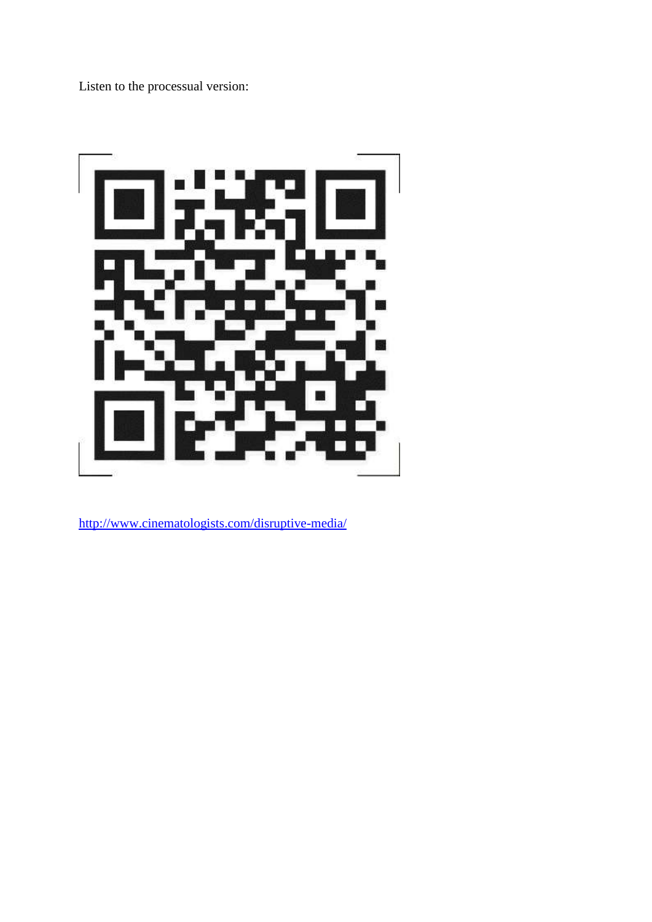Listen to the processual version:



<http://www.cinematologists.com/disruptive-media/>